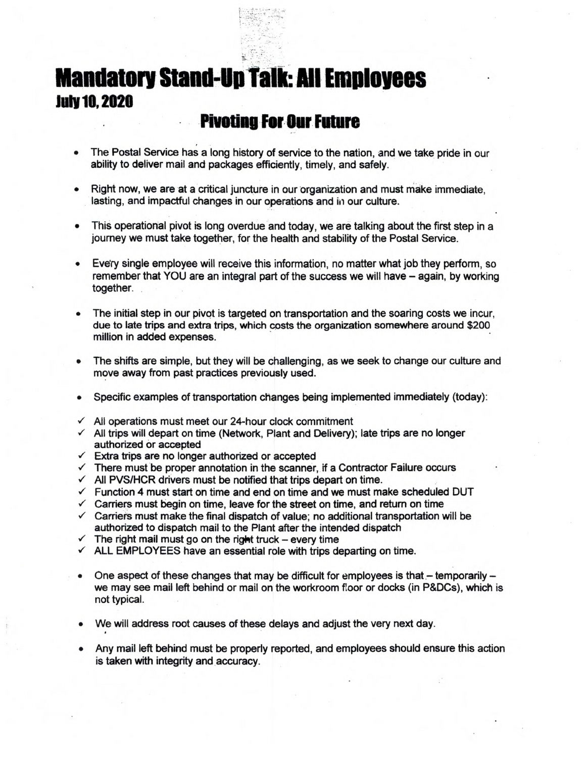

## **Mandatory Stand-Up Talk: All Employees July 10, 2020**

## **Plvotliig For. Our Future**

- The Postal Service has a long history of service to the nation, and we take pride in our ability to deliver mail and packages efficiently, timely, and safely.
- Right now, we are at a critical juncture in our organization and must make immediate, lasting, and impactful changes in our operations and in our culture.
- This operational pivot is long overdue and today, we are talking about the first step in a journey we must take together, for the health and stability of the Postal Service.
- Every single employee will receive this information, no matter what job they perform, so remember that YOU are an integral part of the success we will have - again, by working together.
- The initial step in our pivot is targeted on transportation and the soaring costs we incur, due to late trips and extra trips, which costs the organization somewhere around \$200 million in added expenses.
- The shifts are simple, but they will be challenging, as we seek to change our culture and move away from past practices previously used.
- Specific examples of transportation changes being implemented immediately (today):
- $\checkmark$  All operations must meet our 24-hour clock commitment
- $\checkmark$  All trips will depart on time (Network, Plant and Delivery); late trips are no longer authorized or accepted
- $\checkmark$  Extra trips are no longer authorized or accepted
- $\checkmark$  There must be proper annotation in the scanner, if a Contractor Failure occurs
- $\checkmark$  All PVS/HCR drivers must be notified that trips depart on time.
- $\checkmark$  Function 4 must start on time and end on time and we must make scheduled DUT
- $\checkmark$  Carriers must begin on time, leave for the street on time, and return on time
- $\checkmark$  Carriers must make the final dispatch of value; no additional transportation will be authorized to dispatch mail to the Plant after the intended dispatch
- $\checkmark$  The right mail must go on the right truck every time
- $\checkmark$  ALL EMPLOYEES have an essential role with trips departing on time.
- One aspect of these changes that may be difficult for employees is that  $-$  temporarily  $$ we may see mail left behind or mail on the workroom foor or docks (in P&DCs), which is not typical.
- We will address root causes of these delays and adjust the very next day.
- Any mail left behind must be properly reported, and employees should ensure this action is taken with integrity and accuracy.